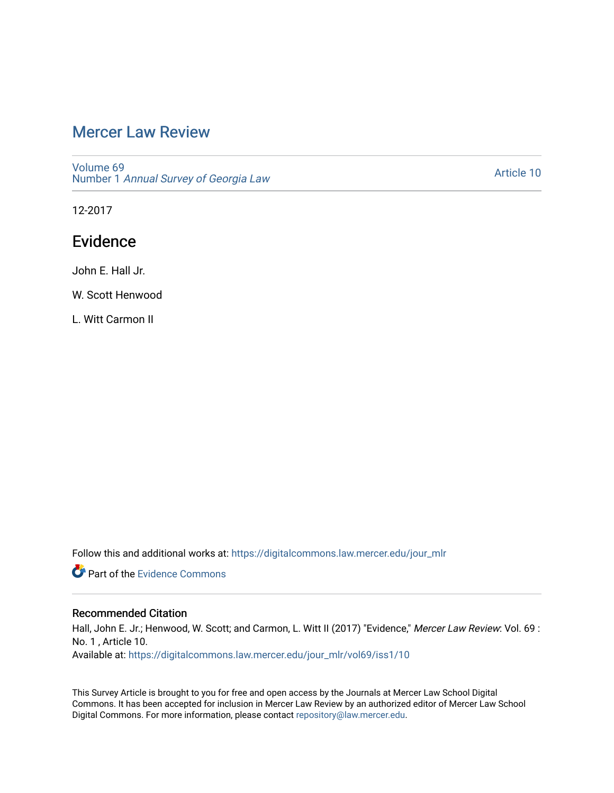# [Mercer Law Review](https://digitalcommons.law.mercer.edu/jour_mlr)

[Volume 69](https://digitalcommons.law.mercer.edu/jour_mlr/vol69) Number 1 [Annual Survey of Georgia Law](https://digitalcommons.law.mercer.edu/jour_mlr/vol69/iss1) 

[Article 10](https://digitalcommons.law.mercer.edu/jour_mlr/vol69/iss1/10) 

12-2017

# Evidence

John E. Hall Jr.

W. Scott Henwood

L. Witt Carmon II

Follow this and additional works at: [https://digitalcommons.law.mercer.edu/jour\\_mlr](https://digitalcommons.law.mercer.edu/jour_mlr?utm_source=digitalcommons.law.mercer.edu%2Fjour_mlr%2Fvol69%2Fiss1%2F10&utm_medium=PDF&utm_campaign=PDFCoverPages)

**C** Part of the Evidence Commons

## Recommended Citation

Hall, John E. Jr.; Henwood, W. Scott; and Carmon, L. Witt II (2017) "Evidence," Mercer Law Review: Vol. 69 : No. 1 , Article 10.

Available at: [https://digitalcommons.law.mercer.edu/jour\\_mlr/vol69/iss1/10](https://digitalcommons.law.mercer.edu/jour_mlr/vol69/iss1/10?utm_source=digitalcommons.law.mercer.edu%2Fjour_mlr%2Fvol69%2Fiss1%2F10&utm_medium=PDF&utm_campaign=PDFCoverPages) 

This Survey Article is brought to you for free and open access by the Journals at Mercer Law School Digital Commons. It has been accepted for inclusion in Mercer Law Review by an authorized editor of Mercer Law School Digital Commons. For more information, please contact [repository@law.mercer.edu](mailto:repository@law.mercer.edu).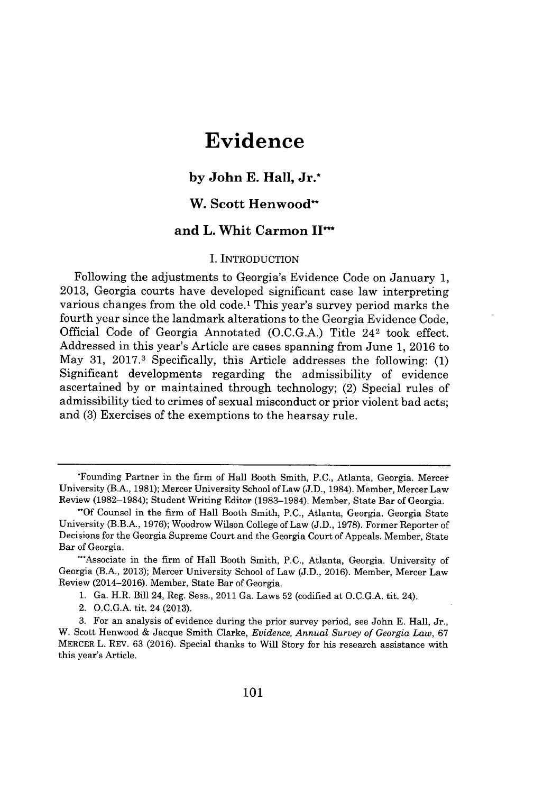# **Evidence**

### **by John E. Hall, Jr.\***

# **W. Scott Henwood"**

### **and L. Whit Carmon IP"**

#### I. INTRODUCTION

Following the adjustments to Georgia's Evidence Code on January **1, 2013,** Georgia courts have developed significant case law interpreting various changes from the old code.' This year's survey period marks the fourth year since the landmark alterations to the Georgia Evidence Code, Official Code of Georgia Annotated **(O.C.G.A.)** Title 242 took effect. Addressed in this year's Article are cases spanning from June **1, 2016** to May **31, 2017.3** Specifically, this Article addresses the following: **(1)** Significant developments regarding the admissibility of evidence ascertained **by** or maintained through technology; (2) Special rules of admissibility tied to crimes of sexual misconduct or prior violent bad acts; and **(3)** Exercises of the exemptions to the hearsay rule.

**1.** Ga. H.R. Bill 24, Reg. Sess., 2011 Ga. Laws **52** (codified at **O.C.G.A.** tit. 24).

2. **O.C.G.A.** tit. 24 **(2013).**

<sup>\*</sup>Founding Partner in the firm of Hall Booth Smith, **P.C.,** Atlanta, Georgia. Mercer University (B.A., **1981);** Mercer University School of Law **(J.D.,** 1984). Member, Mercer Law Review **(1982-1984);** Student Writing Editor **(1983-1984).** Member, State Bar of Georgia.

**<sup>-</sup>Of** Counsel in the firm of Hall Booth Smith, **P.C.,** Atlanta, Georgia. Georgia State University (B.B.A., **1976);** Woodrow Wilson College of Law **(J.D., 1978).** Former Reporter of Decisions for the Georgia Supreme Court and the Georgia Court of Appeals. Member, State Bar of Georgia.

<sup>~</sup>Associate in the firm of Hall Booth Smith, **P.C.,** Atlanta, Georgia. University of Georgia (B.A., **2013);** Mercer University School of Law **(J.D., 2016).** Member, Mercer Law Review (2014-2016). Member, State Bar of Georgia.

**<sup>3.</sup>** For an analysis of evidence during the prior survey period, see John **E.** Hall, Jr., W. Scott Henwood **&** Jacque Smith Clarke, *Evidence, Annual Survey of Georgia Law,* **67** MERCER L. REV. **63 (2016).** Special thanks to Will Story for his research assistance with this year's Article.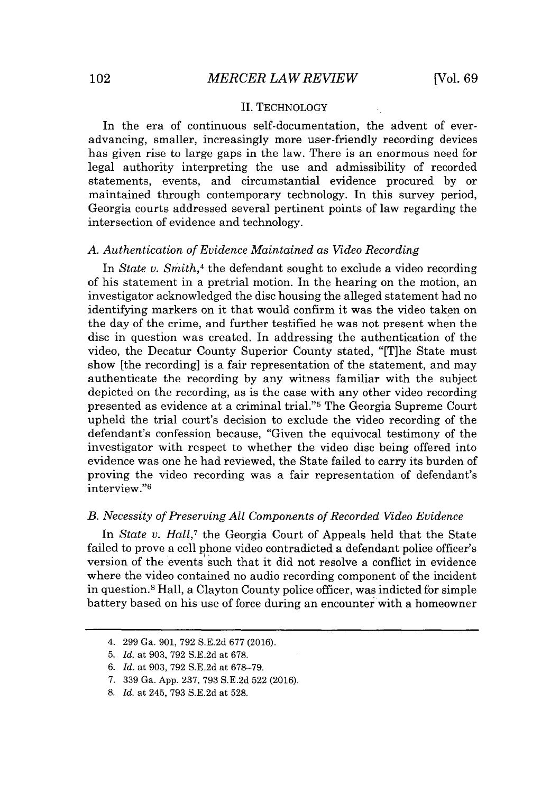#### II. TECHNOLOGY

In the era of continuous self-documentation, the advent of everadvancing, smaller, increasingly more user-friendly recording devices has given rise to large gaps in the law. There is an enormous need for legal authority interpreting the use and admissibility of recorded statements, events, and circumstantial evidence procured **by** or maintained through contemporary technology. In this survey period, Georgia courts addressed several pertinent points of law regarding the intersection of evidence and technology.

#### *A. Authentication of Evidence Maintained as Video Recording*

In *State v. Smith,<sup>4</sup>*the defendant sought to exclude a video recording of his statement **in** a pretrial motion. In the hearing on the motion, an investigator acknowledged the disc housing the alleged statement had no identifying markers on it that would confirm it was the video taken on the day of the crime, and further testified he was not present when the disc in question was created. In addressing the authentication of the video, the Decatur County Superior County stated, "[T]he State must show [the recording] is a fair representation of the statement, and may authenticate the recording **by** any witness familiar with the subject depicted on the recording, as is the case with any other video recording presented as evidence at a criminal trial."5 The Georgia Supreme Court upheld the trial court's decision to exclude the video recording of the defendant's confession because, "Given the equivocal testimony of the investigator with respect to whether the video disc being offered into evidence was one he had reviewed, the State failed to carry its burden of proving the video recording was a fair representation of defendant's interview."<sup>6</sup>

#### *B. Necessity of Preserving All Components of Recorded Video Evidence*

In *State v. Hall,<sup>7</sup>*the Georgia Court of Appeals held that the State failed to prove a cell phone video contradicted a defendant police officer's version of the events such that it did not resolve a conflict in evidence where the video contained no audio recording component of the incident in question.<sup>8</sup>Hall, a Clayton County police officer, was indicted for simple battery based on his use of force during an encounter with a homeowner

<sup>4.</sup> **299** Ga. **901, 792 S.E.2d 677 (2016).**

**<sup>5.</sup>** *Id.* at **903, 792 S.E.2d** at **678.**

**<sup>6.</sup>** *Id.* at **903, 792 S.E.2d** at **678-79.**

**<sup>7. 339</sup>** Ga. **App. 237, 793 S.E.2d 522 (2016).**

**<sup>8.</sup>** *Id.* at 245, **793 S.E.2d** at **528.**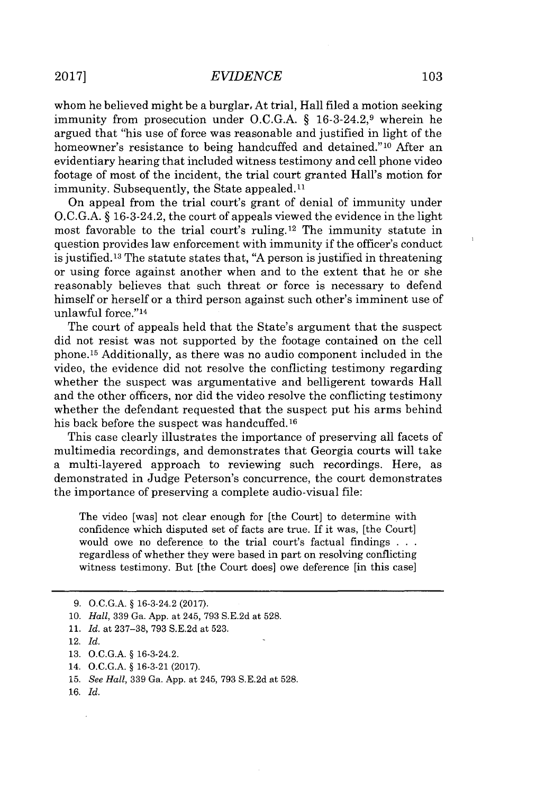whom he believed might be a burglar. At trial, Hall filed a motion seeking immunity from prosecution under **O.C.G.A.** *§* 16-3-24.2,9 wherein he argued that "his use of force was reasonable and justified in light of the homeowner's resistance to being handcuffed and detained."<sup>10</sup> After an evidentiary hearing that included witness testimony and cell phone video footage of most of the incident, the trial court granted Hall's motion for immunity. Subsequently, the State appealed.<sup>11</sup>

On appeal from the trial court's grant of denial of immunity under **O.C.G.A.** *§* 16-3-24.2, the court of appeals viewed the evidence in the light most favorable to the trial court's ruling.<sup>12</sup> The immunity statute in question provides law enforcement with immunity if the officer's conduct is justified. <sup>13</sup>The statute states that, **"A** person is justified in threatening or using force against another when and to the extent that he or she reasonably believes that such threat or force is necessary to defend himself or herself or a third person against such other's imminent use of unlawful force."<sup>14</sup>

The court of appeals held that the State's argument that the suspect did not resist was not supported **by** the footage contained on the cell phone.<sup>15</sup> Additionally, as there was no audio component included in the video, the evidence did not resolve the conflicting testimony regarding whether the suspect was argumentative and belligerent towards Hall and the other officers, nor **did** the video resolve the conflicting testimony whether the defendant requested that the suspect put his arms behind his back before the suspect was handcuffed. **<sup>16</sup>**

This case clearly illustrates the importance of preserving all facets of multimedia recordings, and demonstrates that Georgia courts will take a multi-layered approach to reviewing such recordings. Here, as demonstrated in Judge Peterson's concurrence, the court demonstrates the importance of preserving a complete audio-visual file:

The video [was] not clear enough for [the Court] to determine with confidence which disputed set of facts are true. If it was, [the Court] would owe no deference to the trial court's factual findings **. .** regardless of whether they were based in part on resolving conflicting witness testimony. But [the Court does] owe deference [in this case]

**<sup>9.</sup> O.C.G.A. §** 16-3-24.2 **(2017).**

**<sup>10.</sup>** *Hall,* **339** Ga. **App.** at 245, **793 S.E.2d** at **528.**

**<sup>11.</sup>** *Id.* at **237-38, 793 S.E.2d** at **523.**

<sup>12.</sup> *Id.*

**<sup>13.</sup> O.C.G.A. §** 16-3-24.2.

<sup>14.</sup> **O.C.G.A. § 16-3-21 (2017).**

**<sup>15.</sup>** *See Hall,* **339** Ga. **App.** at 245, **793 S.E.2d** at **528.**

**<sup>16.</sup>** *Id.*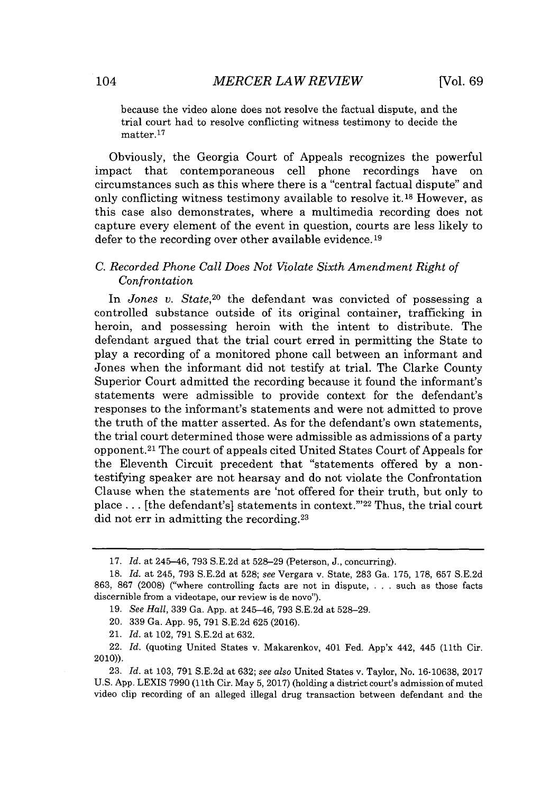because the video alone does not resolve the factual dispute, and the trial court had to resolve conflicting witness testimony to decide the matter.<sup>17</sup>

Obviously, the Georgia Court of Appeals recognizes the powerful impact that contemporaneous cell phone recordings have on circumstances such as this where there is a "central factual dispute" and only conflicting witness testimony available to resolve **it.18** However, as this case also demonstrates, where a multimedia recording does not capture every element of the event in question, courts are less likely to defer to the recording over other available evidence.<sup>19</sup>

#### *C. Recorded Phone Call Does Not Violate Sixth Amendment Right of Confrontation*

In *Jones v. State*,<sup>20</sup> the defendant was convicted of possessing a controlled substance outside of its original container, trafficking in heroin, and possessing heroin with the intent to distribute. The defendant argued that the trial court erred in permitting the State to play a recording of a monitored phone call between an informant and Jones when the informant did not testify at trial. The Clarke County Superior Court admitted the recording because it found the informant's statements were admissible to provide context for the defendant's responses to the informant's statements and were not admitted to prove the truth of the matter asserted. As for the defendant's own statements, the trial court determined those were admissible as admissions of a party opponent.<sup>21</sup> The court of appeals cited United States Court of Appeals for the Eleventh Circuit precedent that "statements offered **by** a nontestifying speaker are not hearsay and do not violate the Confrontation Clause when the statements are 'not offered for their truth, but only to place ... [the defendant's] statements in context."<sup>22</sup> Thus, the trial court did not err in admitting the recording.<sup>23</sup>

21. *Id.* at 102, **791 S.E.2d** at **632.**

**23.** *Id.* at **103, 791 S.E.2d** at **632;** *see also* United States v. Taylor, No. **16-10638, 2017 U.S. App. LEXIS 7990** (11th Cir. May **5,2017)** (holding a district court's admission of muted video clip recording of an alleged illegal drug transaction between defendant and the

**<sup>17.</sup>** *Id.* at 245-46, **793 S.E.2d** at **528-29** (Peterson, **J.,** concurring).

**<sup>18.</sup>** *Id.* at 245, **793 S.E.2d** at **528;** *see* Vergara v. State, **283** Ga. **175, 178, 657 S.E.2d 863, 867 (2008)** ("where controlling facts are not in dispute, . . **.** such as those facts discernible from a videotape, our review is de novo").

**<sup>19.</sup>** *See Hall,* **339** Ga. **App.** at 245-46, **793 S.E.2d** at **528-29.**

<sup>20.</sup> **339** Ga. **App. 95, 791 S.E.2d 625 (2016).**

<sup>22.</sup> *Id.* (quoting United States v. Makarenkov, 401 Fed. App'x 442, 445 (11th Cir. 2010)).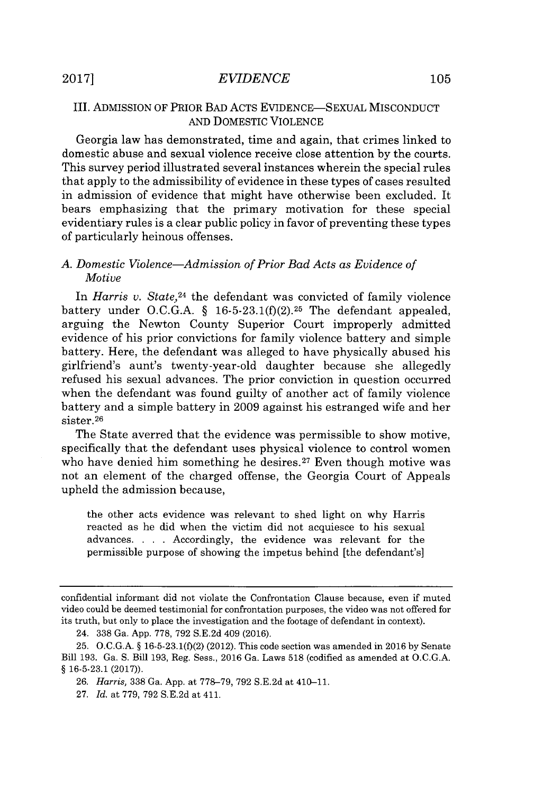#### III. ADMISSION OF PRIOR BAD ACTS **EVIDENCE-SEXUAL MISCONDUCT AND** DOMESTIC VIOLENCE

Georgia law has demonstrated, time and again, that crimes linked to domestic abuse and sexual violence receive close attention **by** the courts. This survey period illustrated several instances wherein the special rules that apply to the admissibility of evidence in these types of cases resulted in admission of evidence that might have otherwise been excluded. It bears emphasizing that the primary motivation for these special evidentiary rules is a clear public policy in favor of preventing these types of particularly heinous offenses.

#### *A. Domestic Violence-Admission of Prior Bad Acts as Evidence of Motive*

*In Harris v. State,<sup>24</sup>*the defendant was convicted of family violence battery under **O.C.G.A.** *§* **16-5-23.1(f)(2). <sup>2</sup> <sup>5</sup>**The defendant appealed, arguing the Newton County Superior Court improperly admitted evidence of his prior convictions for family violence battery and simple battery. Here, the defendant was alleged to have physically abused his girlfriend's aunt's twenty-year-old daughter because she allegedly refused his sexual advances. The prior conviction in question occurred when the defendant was found guilty of another act of family violence battery and a simple battery in **2009** against his estranged wife and her sister.<sup>26</sup>

The State averred that the evidence was permissible to show motive, specifically that the defendant uses physical violence to control women who have denied him something he desires.<sup>27</sup> Even though motive was not an element of the charged offense, the Georgia Court of Appeals upheld the admission because,

the other acts evidence was relevant to shed light on why Harris reacted as he did when the victim did not acquiesce to his sexual advances. **. . .** Accordingly, the evidence was relevant for the permissible purpose of showing the impetus behind [the defendant's]

confidential informant did not violate the Confrontation Clause because, even if muted video could be deemed testimonial for confrontation purposes, the video was not offered for its truth, but only to place the investigation and the footage of defendant in context).

<sup>24.</sup> **338** Ga. **App. 778, 792 S.E.2d** 409 **(2016).**

**<sup>25.</sup> O.C.G.A. § 16-5-23.1(f)(2)** (2012). This code section was amended in **2016 by** Senate Bill **193.** Ga. **S.** Bill **193,** Reg. Sess., **2016** Ga. Laws **518** (codified as amended at **O.C.G.A. § 16-5-23.1 (2017)).**

*<sup>26.</sup> Harris,* 338 Ga. App. at 778-79, 792 S.E.2d at 410-11.

**<sup>27.</sup>** *Id.* at **779, 792 S.E.2d** at 411.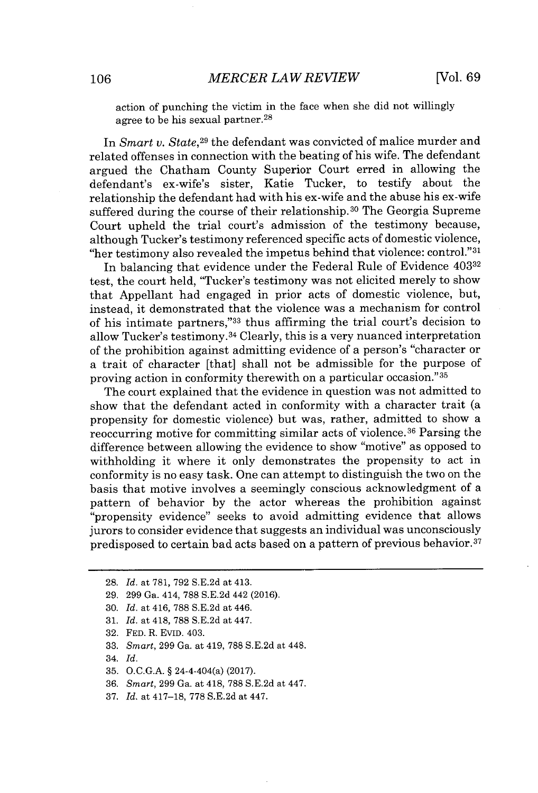action of punching the victim in the face when she did not willingly agree to be his sexual partner.<sup>28</sup>

In *Smart v. State,29* the defendant was convicted of malice murder and related offenses in connection with the beating of his wife. The defendant argued the Chatham County Superior Court erred in allowing the defendant's ex-wife's sister, Katie Tucker, to testify about the relationship the defendant had with his ex-wife and the abuse his ex-wife suffered during the course of their relationship.<sup>30</sup> The Georgia Supreme Court upheld the trial court's admission of the testimony because, although Tucker's testimony referenced specific acts of domestic violence, "her testimony also revealed the impetus behind that violence: control." <sup>31</sup>

In balancing that evidence under the Federal Rule of Evidence 403<sup>32</sup> test, the court held, "Tucker's testimony was not elicited merely to show that Appellant had engaged in prior acts of domestic violence, but, instead, it demonstrated that the violence was a mechanism for control of his intimate partners,"33 thus affirming the trial court's decision to allow Tucker's testimony. <sup>34</sup>Clearly, this is a very nuanced interpretation of the prohibition against admitting evidence of a person's "character or a trait of character [that] shall not be admissible for the purpose of proving action in conformity therewith on a particular occasion."35

The court explained that the evidence in question was not admitted to show that the defendant acted in conformity with a character trait (a propensity for domestic violence) but was, rather, admitted to show a reoccurring motive for committing similar acts of violence.<sup>36</sup> Parsing the difference between allowing the evidence to show "motive" as opposed to withholding it where it only demonstrates the propensity to act in conformity is no easy task. One can attempt to distinguish the two on the basis that motive involves a seemingly conscious acknowledgment of a pattern of behavior **by** the actor whereas the prohibition against "propensity evidence" seeks to avoid admitting evidence that allows jurors to consider evidence that suggests an individual was unconsciously predisposed to certain bad acts based on a pattern of previous behavior.<sup>37</sup>

- **30.** *Id.* at 416, **788 S.E.2d** at 446.
- **31.** *Id.* at 418, **788 S.E.2d** at 447.
- **32. FED.** R. EVID. 403.
- **33.** *Smart,* **299** Ga. at 419, **788 S.E.2d** at 448.
- 34. *Id.*
- **35. O.C.G.A.** *§* 24-4-404(a) **(2017).**
- **36.** *Smart,* **299** Ga. at 418, **788 S.E.2d** at 447.
- **37.** *Id.* at **417-18, 778 S.E.2d** at 447.

<sup>28.</sup> *Id.* at **781, 792 S.E.2d** at 413.

**<sup>29. 299</sup>** Ga. 414, **788 S.E.2d** 442 **(2016).**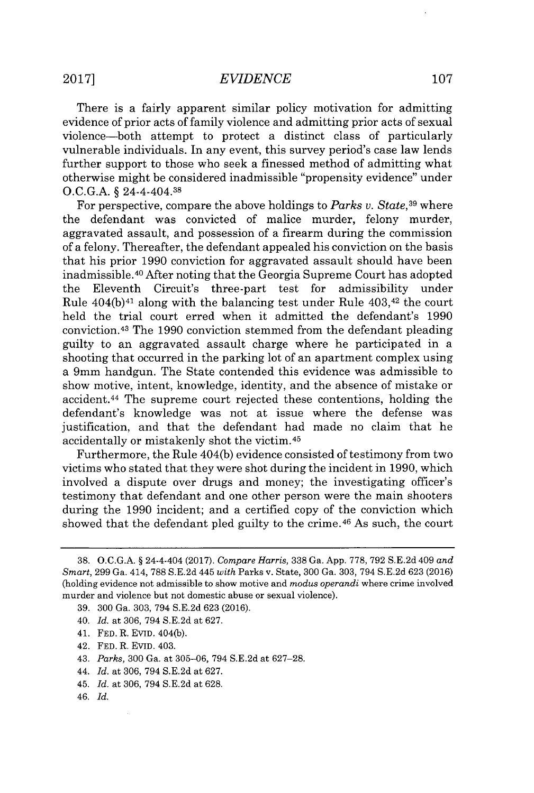There is a fairly apparent similar policy motivation for admitting evidence of prior acts of family violence and admitting prior acts of sexual violence-both attempt to protect a distinct class of particularly vulnerable individuals. In any event, this survey period's case law lends further support to those who seek a finessed method of admitting what otherwise might be considered inadmissible "propensity evidence" under **O.C.G.A. §** 24-4-404.38

For perspective, compare the above holdings to *Parks v. State,<sup>39</sup>*where the defendant was convicted of malice murder, felony murder, aggravated assault, and possession of a firearm during the commission of a felony. Thereafter, the defendant appealed his conviction on the basis that his prior **1990** conviction for aggravated assault should have been inadmissible.<sup>40</sup> After noting that the Georgia Supreme Court has adopted the Eleventh Circuit's three-part test for admissibility under Rule  $404(b)^{41}$  along with the balancing test under Rule  $403<sup>42</sup>$  the court held the trial court erred when it admitted the defendant's **1990** conviction. <sup>43</sup>The **1990** conviction stemmed from the defendant pleading guilty to an aggravated assault charge where he participated in a shooting that occurred in the parking lot of an apartment complex using a 9mm handgun. The State contended this evidence was admissible to show motive, intent, knowledge, identity, and the absence of mistake or accident. <sup>44</sup>The supreme court rejected these contentions, holding the defendant's knowledge was not at issue where the defense was justification, and that the defendant had made no claim that he accidentally or mistakenly shot the victim.45

Furthermore, the Rule 404(b) evidence consisted of testimony from two victims who stated that they were shot during the incident in **1990,** which involved a dispute over drugs and money; the investigating officer's testimony that defendant and one other person were the main shooters during the **1990** incident; and a certified copy of the conviction which showed that the defendant pled guilty to the crime.<sup>46</sup> As such, the court

- **39. 300** Ga. **303,** 794 **S.E.2d 623 (2016).**
- 40. *Id.* at **306,** 794 **S.E.2d** at **627.**
- 41. **FED.** R. **EVID.** 404(b).
- 42. **FED.** R. **EVID.** 403.
- 43. *Parks,* **300** Ga. at **305-06,** 794 **S.E.2d** at **627-28.**
- 44. *Id.* at **306,** 794 **S.E.2d** at **627.**
- 45. *Id.* at **306,** 794 **S.E.2d** at **628.**
- 46. *Id.*

**<sup>38.</sup> O.C.G.A. §** 24-4-404 **(2017).** *Compare Harris,* **338** Ga. **App. 778, 792 S.E.2d 409** *and Smart,* **299** Ga. 414, **788 S.E.2d** 445 *with* Parks v. State, **300** Ga. **303,** 794 **S.E.2d 623 (2016)** (holding evidence not admissible to show motive and *modus operandi* where crime involved murder and violence but not domestic abuse or sexual violence).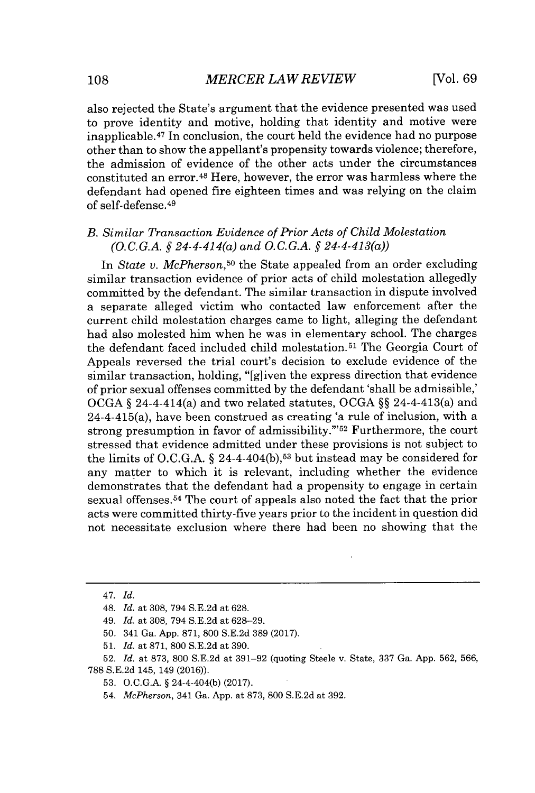also rejected the State's argument that the evidence presented was used to prove identity and motive, holding that identity and motive were inapplicable.<sup>47</sup> In conclusion, the court held the evidence had no purpose other than to show the appellant's propensity towards violence; therefore, the admission of evidence of the other acts under the circumstances constituted an error.<sup>48</sup> Here, however, the error was harmless where the defendant had opened fire eighteen times and was relying on the claim of self-defense. <sup>49</sup>

#### *B. Similar Transaction Evidence of Prior Acts of Child Molestation (O.C.G.A. § 24-4-414(a) and O.C.G.A. § 24-4-413(a))*

In *State v. McPherson,<sup>50</sup>*the State appealed from an order excluding similar transaction evidence of prior acts of child molestation allegedly committed **by** the defendant. The similar transaction in dispute involved a separate alleged victim who contacted law enforcement after the current child molestation charges came to light, alleging the defendant had also molested him when he was in elementary school. The charges the defendant faced included child molestation.<sup>51</sup> The Georgia Court of Appeals reversed the trial court's decision to exclude evidence of the similar transaction, holding, "[g]iven the express direction that evidence of prior sexual offenses committed **by** the defendant 'shall be admissible,' **OCGA** *§* 24-4-414(a) and two related statutes, **OCGA** *§§* 24-4-413(a) and 24-4-415(a), have been construed as creating 'a rule of inclusion, with a strong presumption in favor of admissibility."<sup>52</sup> Furthermore, the court stressed that evidence admitted under these provisions is not subject to the limits of **O.C.G.A.** *§* 24-4-404(b),53 but instead may be considered for any matter to which it is relevant, including whether the evidence demonstrates that the defendant had a propensity to engage in certain sexual offenses.<sup>54</sup> The court of appeals also noted the fact that the prior acts were committed thirty-five years prior to the incident in question did not necessitate exclusion where there had been no showing that the

*<sup>47.</sup> Id.*

<sup>48.</sup> *Id.* at **308,** 794 **S.E.2d** at **628.**

*<sup>49.</sup> Id.* at **308,** 794 **S.E.2d** at **628-29.**

**<sup>50.</sup>** 341 Ga. **App. 871, 800 S.E.2d 389 (2017).**

**<sup>51.</sup>** *Id.* at **871, 800 S.E.2d** at **390.**

**<sup>52.</sup>** *Id.* at **873, 800 S.E.2d** at **391-92** (quoting Steele v. State, **337** Ga. **App. 562, 566, 788 S.E.2d** 145, 149 **(2016)).**

**<sup>53.</sup> O.C.G.A. §** 24-4-404(b) **(2017).**

*<sup>54.</sup> McPherson,* 341 Ga. **App.** at **873, 800 S.E.2d** at **392.**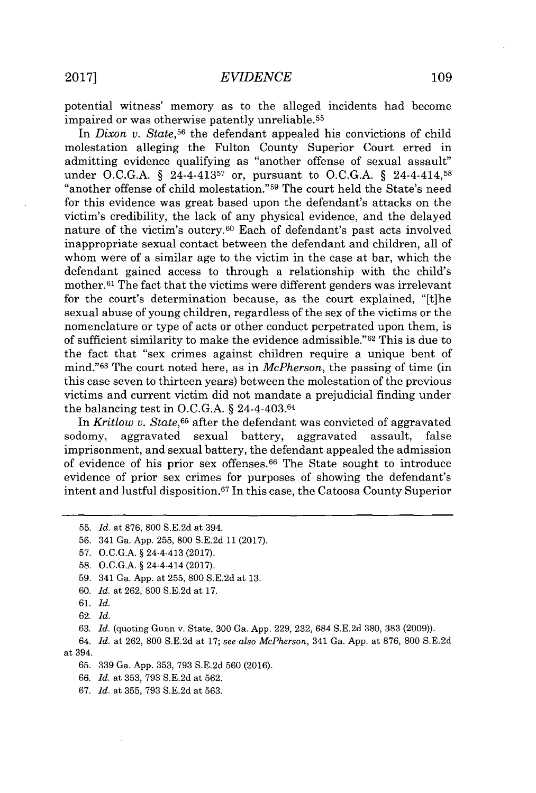potential witness' memory as to the alleged incidents had become impaired or was otherwise patently unreliable.<sup>55</sup>

In *Dixon v. State*,<sup>56</sup> the defendant appealed his convictions of child molestation alleging the Fulton County Superior Court erred in admitting evidence qualifying as "another offense of sexual assault" under **O.C.G.A. §** 24-4-41357 or, pursuant to **O.C.G.A.** *§* 24-4-414,58 "another offense of child molestation."<sup>59</sup> The court held the State's need for this evidence was great based upon the defendant's attacks on the victim's credibility, the lack of any physical evidence, and the delayed nature of the victim's outcry.<sup>60</sup> Each of defendant's past acts involved inappropriate sexual contact between the defendant and children, all of whom were of a similar age to the victim in the case at bar, which the defendant gained access to through a relationship with the child's mother.<sup>61</sup> The fact that the victims were different genders was irrelevant for the court's determination because, as the court explained, "[t]he sexual abuse of young children, regardless of the sex of the victims or the nomenclature or type of acts or other conduct perpetrated upon them, is of sufficient similarity to make the evidence admissible."<sup>62</sup> This is due to the fact that "sex crimes against children require a unique bent of mind.<sup>"63</sup> The court noted here, as in *McPherson*, the passing of time (in this case seven to thirteen years) between the molestation of the previous victims and current victim did not mandate a prejudicial finding under the balancing test in **O.C.G.A.** *§* 24-4-403.64

In *Kritlow v. State,<sup>65</sup>*after the defendant was convicted of aggravated sodomy, aggravated sexual battery, aggravated assault, false imprisonment, and sexual battery, the defendant appealed the admission of evidence of his prior sex offenses.<sup>66</sup> The State sought to introduce evidence of prior sex crimes for purposes of showing the defendant's intent and lustful disposition.<sup>67</sup> In this case, the Catoosa County Superior

- **59.** 341 Ga. **App.** at **255, 800 S.E.2d** at **13.**
- **60.** *Id. at* **262, 800 S.E.2d** at **17.**

**62.** *Id.*

**65. 339** Ga. **App. 353, 793 S.E.2d 560 (2016).**

- *66. Id.* at **353, 793 S.E.2d** at **562.**
- **67.** *Id.* at **355, 793 S.E.2d** at **563.**

**<sup>55.</sup>** *Id. at* **876, 800 S.E.2d** at 394.

**<sup>56.</sup>** 341 Ga. **App. 255, 800 S.E.2d 11 (2017).**

**<sup>57.</sup> O.C.G.A. §** 24-4-413 **(2017).**

**<sup>58.</sup> O.C.G.A. §** 24-4-414 **(2017).**

**<sup>61.</sup>** *Id.*

**<sup>63.</sup>** *Id.* (quoting Gunn v. State, **300** Ga. **App. 229, 232,** 684 **S.E.2d 380, 383 (2009)).**

*<sup>64.</sup> Id.* at **262, 800 S.E.2d** at **17;** see also *McPherson,* 341 Ga. **App.** at **876, 800 S.E.2d** at 394.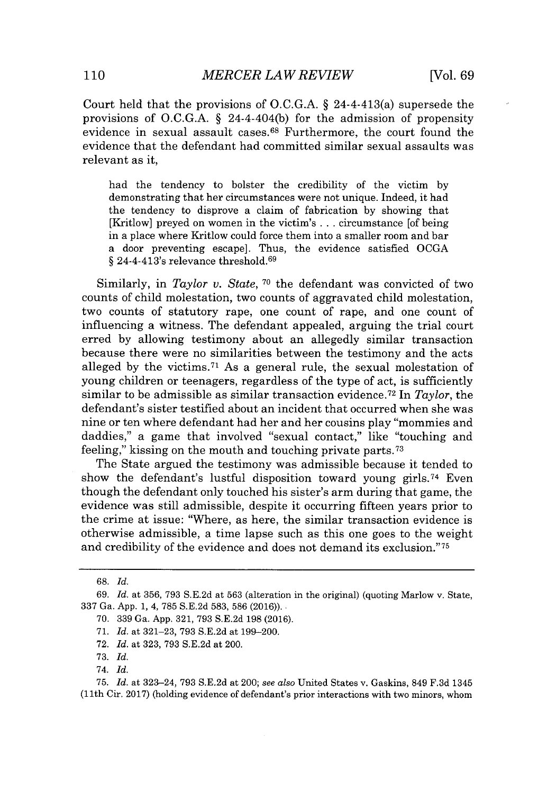Court held that the provisions of **O.C.G.A. §** 24-4-413(a) supersede the provisions of **O.C.G.A.** *§* 24-4-404(b) for the admission of propensity evidence in sexual assault cases.<sup>68</sup> Furthermore, the court found the evidence that the defendant had committed similar sexual assaults was relevant as it,

had the tendency to bolster the credibility of the victim **by** demonstrating that her circumstances were not unique. Indeed, it had the tendency to disprove a claim of fabrication **by** showing that [Kritlow] preyed on women in the victim's **...** circumstance [of being in a place where Kritlow could force them into a smaller room and bar a door preventing escape]. Thus, the evidence satisfied **OCGA** § 24-4-413's relevance threshold.<sup>69</sup>

Similarly, in *Taylor v. State*, <sup>70</sup> the defendant was convicted of two counts of child molestation, two counts of aggravated child molestation, two counts of statutory rape, one count of rape, and one count of influencing a witness. The defendant appealed, arguing the trial court erred **by** allowing testimony about an allegedly similar transaction because there were no similarities between the testimony and the acts alleged **by** the victims.7 1 As a general rule, the sexual molestation of young children or teenagers, regardless of the type of act, is sufficiently similar to be admissible as similar transaction evidence. <sup>72</sup>In *Taylor,* the defendant's sister testified about an incident that occurred when she was nine or ten where defendant had her and her cousins play "mommies and daddies," a game that involved "sexual contact," like "touching and feeling," kissing on the mouth and touching private parts. <sup>73</sup>

The State argued the testimony was admissible because it tended to show the defendant's lustful disposition toward young girls.<sup>74</sup> Even though the defendant only touched his sister's arm during that game, the evidence was still admissible, despite it occurring fifteen years prior to the crime at issue: "Where, as here, the similar transaction evidence **is** otherwise admissible, a time lapse such as this one goes to the weight and credibility of the evidence and does not demand its exclusion." <sup>75</sup>

- **71.** *Id.* at **321-23, 793 S.E.2d** at **199-200.**
- **72.** *Id.* at **323, 793 S.E.2d** at 200.

**<sup>68.</sup>** *Id.*

*<sup>69.</sup> Id.* at **356, 793 S.E.2d** at **563** (alteration in the original) (quoting Marlow v. State, **337** Ga. **App. 1,** 4, **785 S.E.2d 583, 586 (2016)).** 

**<sup>70. 339</sup>** Ga. **App. 321, 793 S.E.2d 198 (2016).**

**<sup>73.</sup>** *Id.*

<sup>74.</sup> *Id.*

**<sup>75.</sup>** *Id.* at 323-24, **793 S.E.2d** at 200; *see also* United States v. Gaskins, 849 **F.3d** 1345 **(11th** Cir. **2017)** (holding evidence of defendant's prior interactions with two minors, whom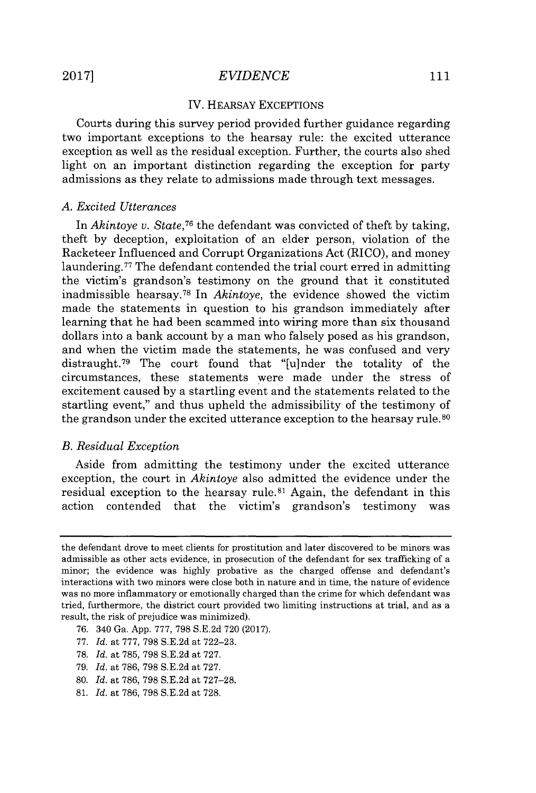# *EVIDENCE* **2017]** 111

#### IV. HEARSAY EXCEPTIONS

Courts during this survey period provided further guidance regarding two important exceptions to the hearsay rule: the excited utterance exception as well as the residual exception. Further, the courts also shed light on an important distinction regarding the exception for party admissions as they relate to admissions made through text messages.

#### *A. Excited Utterances*

In *Akintoye v. State,<sup>7</sup><sup>6</sup>*the defendant was convicted of theft **by** taking, theft **by** deception, exploitation of an elder person, violation of the Racketeer Influenced and Corrupt Organizations Act (RICO), and money laundering.<sup>77</sup> The defendant contended the trial court erred in admitting the victim's grandson's testimony on the ground that it constituted inadmissible hearsay.<sup>78</sup>In *Akintoye,* the evidence showed the victim made the statements in question to his grandson immediately after learning that he had been scammed into wiring more than six thousand dollars into a bank account **by** a man who falsely posed as his grandson, and when the victim made the statements, he was confused and very distraught.<sup>79</sup> The court found that "[u]nder the totality of the circumstances, these statements were made under the stress of excitement caused **by** a startling event and the statements related to the startling event," and thus upheld the admissibility of the testimony of the grandson under the excited utterance exception to the hearsay rule.<sup>80</sup>

#### *B. Residual Exception*

Aside from admitting the testimony under the excited utterance exception, the court in *Akintoye* also admitted the evidence under the residual exception to the hearsay rule.<sup>81</sup> Again, the defendant in this action contended that the victim's grandson's testimony was

- **76.** 340 Ga. **App. 777, 798 S.E.2d 720 (2017).**
- **77.** *Id.* at **777, 798 S.E.2d** at **722-23.**
- **78.** *Id.* at **785, 798 S.E.2d** at **727.**
- **79.** *Id.* at **786, 798 S.E.2d** at **727.**
- **80.** *Id.* at **786, 798 S.E.2d** at **727-28.**
- **81.** *Id.* at **786, 798 S.E.2d** at **728.**

the defendant drove to meet clients for prostitution and later discovered to be minors was admissible as other acts evidence, in prosecution of the defendant for sex trafficking of a minor; the evidence was highly probative as the charged offense and defendant's interactions with two minors were close both in nature and in time, the nature of evidence was no more inflammatory or emotionally charged than the crime for which defendant was tried, furthermore, the district court provided two limiting instructions at trial, and as a result, the risk of prejudice was minimized).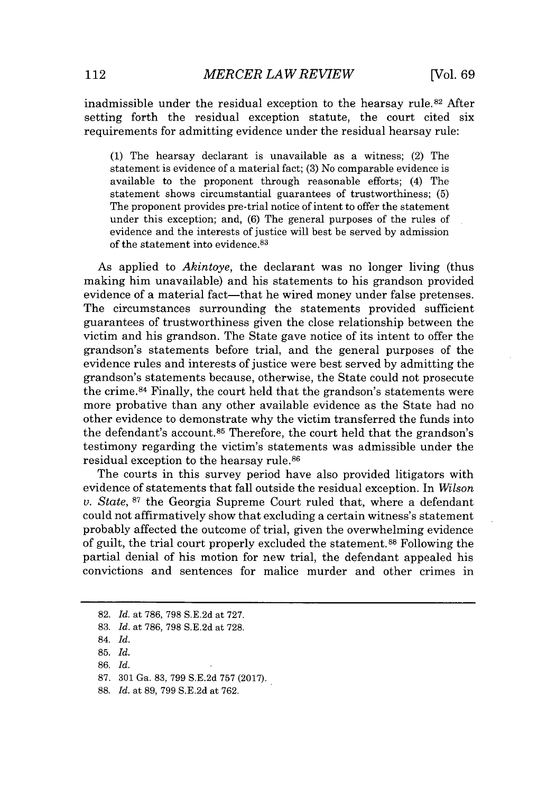inadmissible under the residual exception to the hearsay rule.<sup>82</sup> After setting forth the residual exception statute, the court cited six requirements for admitting evidence under the residual hearsay rule:

**(1)** The hearsay declarant is unavailable as a witness; (2) The statement is evidence of a material fact; **(3)** No comparable evidence is available to the proponent through reasonable efforts; (4) The statement shows circumstantial guarantees of trustworthiness; **(5)** The proponent provides pre-trial notice of intent to offer the statement under this exception; and, **(6)** The general purposes of the rules of evidence and the interests of justice will best be served **by** admission of the statement into evidence. <sup>83</sup>

As applied to *Akintoye,* the declarant was no longer living (thus making him unavailable) and his statements to his grandson provided evidence of a material fact—that he wired money under false pretenses. The circumstances surrounding the statements provided sufficient guarantees of trustworthiness given the close relationship between the victim and his grandson. The State gave notice of its intent to offer the grandson's statements before trial, and the general purposes of the evidence rules and interests of justice were best served **by** admitting the grandson's statements because, otherwise, the State could not prosecute the crime. $84$  Finally, the court held that the grandson's statements were more probative than any other available evidence as the State had no other evidence to demonstrate why the victim transferred the funds into the defendant's account.<sup>85</sup> Therefore, the court held that the grandson's testimony regarding the victim's statements was admissible under the residual exception to the hearsay rule. <sup>86</sup>

The courts in this survey period have also provided litigators with evidence of statements that fall outside the residual exception. In *Wilson v. State,* **87** the Georgia Supreme Court ruled that, where a defendant could not affirmatively show that excluding a certain witness's statement probably affected the outcome of trial, given the overwhelming evidence of guilt, the trial court properly excluded the statement. 8 Following the partial denial of his motion for new trial, the defendant appealed his convictions and sentences for malice murder and other crimes in

**<sup>82.</sup>** *Id.* at **786, 798 S.E.2d** at **727.**

**<sup>83.</sup>** *Id.* at **786, 798 S.E.2d** at **728.**

<sup>84.</sup> *Id.*

**<sup>85.</sup>** *Id.*

**<sup>86.</sup>** *Id.*

**<sup>87. 301</sup>** Ga. **83, 799 S.E.2d 757 (2017).**

**<sup>88.</sup>** *Id.* at **89, 799 S.E.2d** at **762.**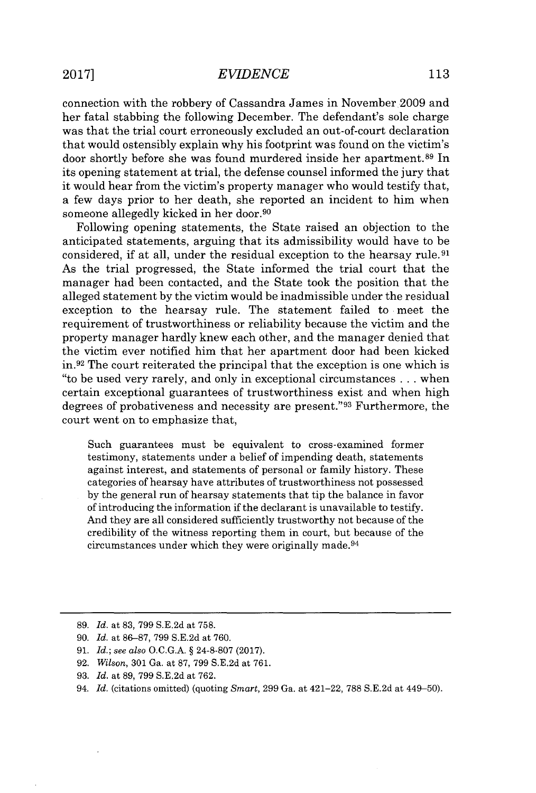connection with the robbery of Cassandra James in November 2009 and her fatal stabbing the following December. The defendant's sole charge was that the trial court erroneously excluded an out-of-court declaration that would ostensibly explain why his footprint was found on the victim's door shortly before she was found murdered inside her apartment.89 In its opening statement at trial, the defense counsel informed the jury that it would hear from the victim's property manager who would testify that, a few days prior to her death, she reported an incident to him when someone allegedly kicked in her door.<sup>90</sup>

Following opening statements, the State raised an objection to the anticipated statements, arguing that its admissibility would have to be considered, if at all, under the residual exception to the hearsay rule. <sup>91</sup> As the trial progressed, the State informed the trial court that the manager had been contacted, and the State took the position that the alleged statement **by** the victim would be inadmissible under the residual exception to the hearsay rule. The statement failed to meet the requirement of trustworthiness or reliability because the victim and the property manager hardly knew each other, and the manager denied that the victim ever notified him that her apartment door had been kicked  $\text{in.}^{92}$  The court reiterated the principal that the exception is one which is "to be used very rarely, and only in exceptional circumstances **.** . **.** when certain exceptional guarantees of trustworthiness exist and when high degrees of probativeness and necessity are present."<sup>93</sup> Furthermore, the court went on to emphasize that,

Such guarantees must be equivalent to cross-examined former testimony, statements under a belief of impending death, statements against interest, and statements of personal or family history. These categories of hearsay have attributes of trustworthiness not possessed **by** the general run of hearsay statements that tip the balance in favor of introducing the information if the declarant is unavailable to testify. And they are all considered sufficiently trustworthy not because of the credibility of the witness reporting them in court, but because of the circumstances under which they were originally made.<sup>94</sup>

- **92.** *Wilson,* **301** Ga. at **87, 799 S.E.2d** at **761.**
- **93.** *Id.* at **89, 799 S.E.2d** at **762.**

**<sup>89.</sup>** *Id.* at **83, 799 S.E.2d** at **758.**

**<sup>90.</sup>** *Id.* at **86-87, 799 S.E.2d** at **760.**

**<sup>91.</sup>** *Id.; see also* **O.C.G.A. § 24-8-807 (2017).**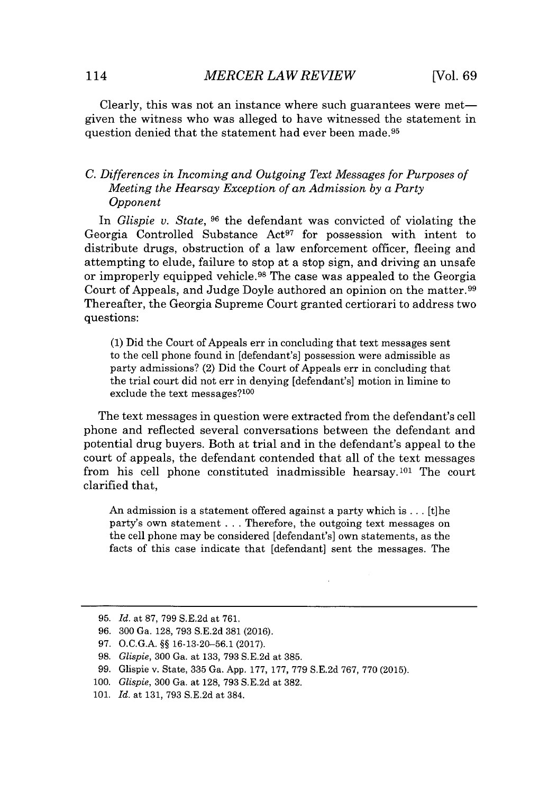Clearly, this was not an instance where such guarantees were metgiven the witness who was alleged to have witnessed the statement in question denied that the statement had ever been made.<sup>95</sup>

### *C. Differences in Incoming and Outgoing Text Messages for Purposes of Meeting the Hearsay Exception of an Admission by a Party Opponent*

*In Glispie v. State,* **96** the defendant was convicted of violating the Georgia Controlled Substance  $Act^{97}$  for possession with intent to distribute drugs, obstruction of a law enforcement officer, fleeing and attempting to elude, failure to stop at a stop sign, and driving an unsafe or improperly equipped vehicle.<sup>98</sup> The case was appealed to the Georgia Court of Appeals, and Judge Doyle authored an opinion on the matter.<sup>99</sup> Thereafter, the Georgia Supreme Court granted certiorari to address two questions:

**(1)** Did the Court of Appeals err in concluding that text messages sent to the cell phone found in [defendant's] possession were admissible as party admissions? (2) Did the Court of Appeals err in concluding that the trial court did not err in denying [defendant's] motion in limine to exclude the text messages?<sup>100</sup>

The text messages in question were extracted from the defendant's cell phone and reflected several conversations between the defendant and potential drug buyers. Both at trial and in the defendant's appeal to the court of appeals, the defendant contended that all of the text messages from his cell phone constituted inadmissible hearsay.<sup>101</sup> The court clarified that,

An admission is a statement offered against a party which is **...** [t]he party's own statement **.** . **.** Therefore, the outgoing text messages on the cell phone may be considered [defendant's] own statements, as the facts of this case indicate that [defendant] sent the messages. The

*<sup>95.</sup> Id.* at **87, 799 S.E.2d** at **761.**

*<sup>96. 300</sup>* Ga. **128, 793 S.E.2d 381 (2016).**

**<sup>97.</sup> O.C.G.A. §§ 16-13-20-56.1 (2017).**

**<sup>98.</sup>** *Glispie,* **300** Ga. at **133, 793 S.E.2d** at **385.**

*<sup>99.</sup>* Glispie v. State, **335** Ga. **App. 177, 177, 779 S.E.2d 767,** *770* **(2015).**

**<sup>100.</sup>** *Glispie,* **300** Ga. at **128, 793 S.E.2d** at **382.**

**<sup>101.</sup>** *Id.* at **131, 793 S.E.2d** at 384.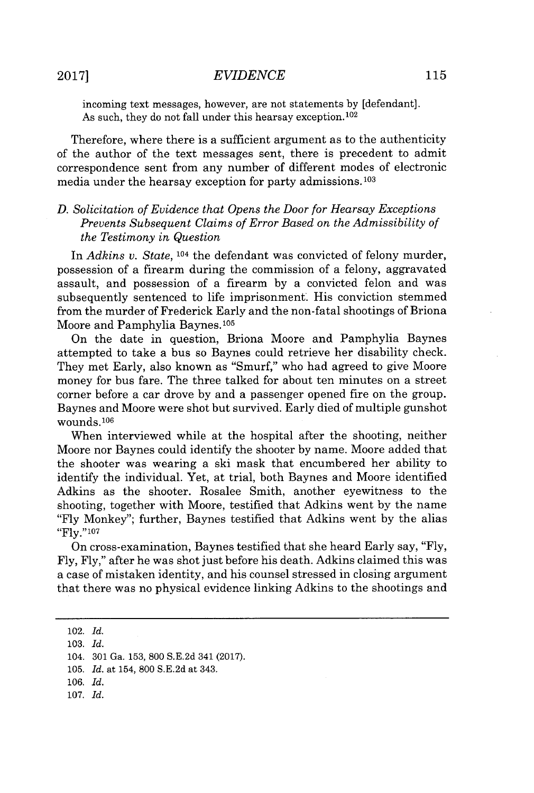incoming text messages, however, are not statements **by** [defendant]. As such, they do not fall under this hearsay exception.<sup>102</sup>

Therefore, where there is a sufficient argument as to the authenticity of the author of the text messages sent, there is precedent to admit correspondence sent from any number of different modes of electronic media under the hearsay exception for party admissions.<sup>103</sup>

#### *D. Solicitation of Evidence that Opens the Door for Hearsay Exceptions Prevents Subsequent Claims of Error Based on the Admissibility of the Testimony in Question*

In *Adkins v. State,* 104 the defendant was convicted of felony murder, possession of a firearm during the commission of a felony, aggravated assault, and possession of a firearm **by** a convicted felon and was subsequently sentenced to life imprisonment. His conviction stemmed from the murder of Frederick Early and the non-fatal shootings of Briona Moore and Pamphylia Baynes.10<sup>5</sup>

On the date in question, Briona Moore and Pamphylia Baynes attempted to take a bus so Baynes could retrieve her disability check. They met Early, also known as "Smurf," who had agreed to give Moore money for bus fare. The three talked for about ten minutes on a street corner before a car drove **by** and a passenger opened fire on the group. Baynes and Moore were shot but survived. Early died of multiple gunshot wounds. **<sup>106</sup>**

When interviewed while at the hospital after the shooting, neither Moore nor Baynes could identify the shooter **by** name. Moore added that the shooter was wearing a ski mask that encumbered her ability to identify the individual. Yet, at trial, both Baynes and Moore identified Adkins as the shooter. Rosalee Smith, another eyewitness to the shooting, together with Moore, testified that Adkins went **by** the name **"Fly** Monkey"; further, Baynes testified that Adkins went **by** the alias **"Fly."<sup>107</sup>**

On cross-examination, Baynes testified that she heard Early say, **"Fly, Fly, Fly,"** after he was shot just before his death. Adkins claimed this was a case of mistaken identity, and his counsel stressed in closing argument that there was no physical evidence linking Adkins to the shootings and

**107.** *Id.*

<sup>102.</sup> *Id.*

**<sup>103.</sup>** *Id.*

<sup>104.</sup> **301** Ga. **153, 800 S.E.2d** 341 **(2017).**

**<sup>105.</sup>** *Id.* at 154, **800 S.E.2d** at 343.

*<sup>106.</sup> Id.*